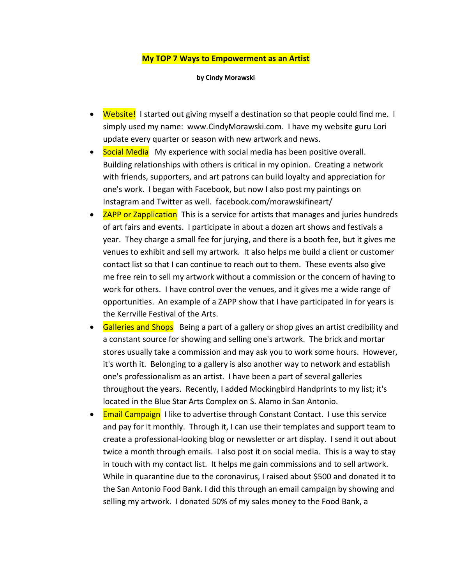## **My TOP 7 Ways to Empowerment as an Artist**

**by Cindy Morawski**

- Website! I started out giving myself a destination so that people could find me. I simply used my name: www.CindyMorawski.com. I have my website guru Lori update every quarter or season with new artwork and news.
- Social Media My experience with social media has been positive overall. Building relationships with others is critical in my opinion. Creating a network with friends, supporters, and art patrons can build loyalty and appreciation for one's work. I began with Facebook, but now I also post my paintings on Instagram and Twitter as well. facebook.com/morawskifineart/
- ZAPP or Zapplication This is a service for artists that manages and juries hundreds of art fairs and events. I participate in about a dozen art shows and festivals a year. They charge a small fee for jurying, and there is a booth fee, but it gives me venues to exhibit and sell my artwork. It also helps me build a client or customer contact list so that I can continue to reach out to them. These events also give me free rein to sell my artwork without a commission or the concern of having to work for others. I have control over the venues, and it gives me a wide range of opportunities. An example of a ZAPP show that I have participated in for years is the Kerrville Festival of the Arts.
- Galleries and Shops Being a part of a gallery or shop gives an artist credibility and a constant source for showing and selling one's artwork. The brick and mortar stores usually take a commission and may ask you to work some hours. However, it's worth it. Belonging to a gallery is also another way to network and establish one's professionalism as an artist. I have been a part of several galleries throughout the years. Recently, I added Mockingbird Handprints to my list; it's located in the Blue Star Arts Complex on S. Alamo in San Antonio.
- Email Campaign I like to advertise through Constant Contact. I use this service and pay for it monthly. Through it, I can use their templates and support team to create a professional-looking blog or newsletter or art display. I send it out about twice a month through emails. I also post it on social media. This is a way to stay in touch with my contact list. It helps me gain commissions and to sell artwork. While in quarantine due to the coronavirus, I raised about \$500 and donated it to the San Antonio Food Bank. I did this through an email campaign by showing and selling my artwork. I donated 50% of my sales money to the Food Bank, a